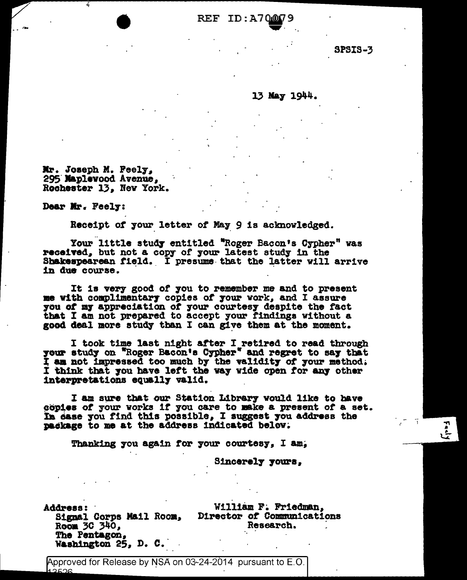REF ID:A7000

**SPSIS-3** 

## 13 May 1944.

Mr. Joseph M. Feely, 295 Maplevood Avenue, Rochester 13, New York.

Dear Mr. Feely:

Receipt of your letter of May 9 is acknowledged.

Your little study entitled "Roger Bacon's Cypher" was received, but not a copy of your latest study in the Shakespearean field. I presume that the latter will arrive in due course.

It is very good of you to remember me and to present me with complimentary copies of your work, and I assure you of my appreciation of your courtesy despite the fact that I am not prepared to accept your findings without a good deal more study than I can give them at the moment.

I took time last night after I retired to read through<br>your study on "Roger Bacon's Cypher" and regret to say that I am not impressed too much by the validity of your method. I think that you have left the way wide open for any other interpretations equally valid.

I am sure that our Station Library would like to have copies of your works if you care to make a present of a set. In ease you find this possible, I suggest you address the package to me at the address indicated below.

Thanking you again for your courtesy, I am,

Sincerely yours,

**Address:** Room 30 340. The Pentagon, Washington 25, D. C.

William F. Friedman, Signal Corps Mail Room, Director of Communications Research.

Approved for Release by NSA on 03-24-2014 pursuant to E.O.  $12526$